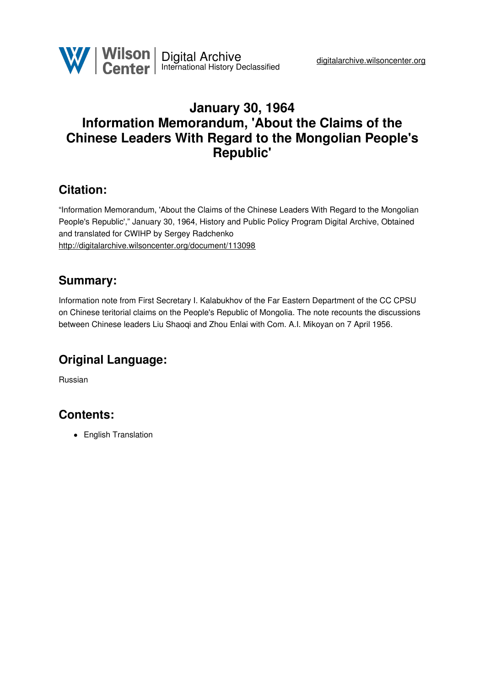

# **January 30, 1964 Information Memorandum, 'About the Claims of the Chinese Leaders With Regard to the Mongolian People's Republic'**

## **Citation:**

"Information Memorandum, 'About the Claims of the Chinese Leaders With Regard to the Mongolian People's Republic'," January 30, 1964, History and Public Policy Program Digital Archive, Obtained and translated for CWIHP by Sergey Radchenko <http://digitalarchive.wilsoncenter.org/document/113098>

### **Summary:**

Information note from First Secretary I. Kalabukhov of the Far Eastern Department of the CC CPSU on Chinese teritorial claims on the People's Republic of Mongolia. The note recounts the discussions between Chinese leaders Liu Shaoqi and Zhou Enlai with Com. A.I. Mikoyan on 7 April 1956.

# **Original Language:**

Russian

# **Contents:**

• English Translation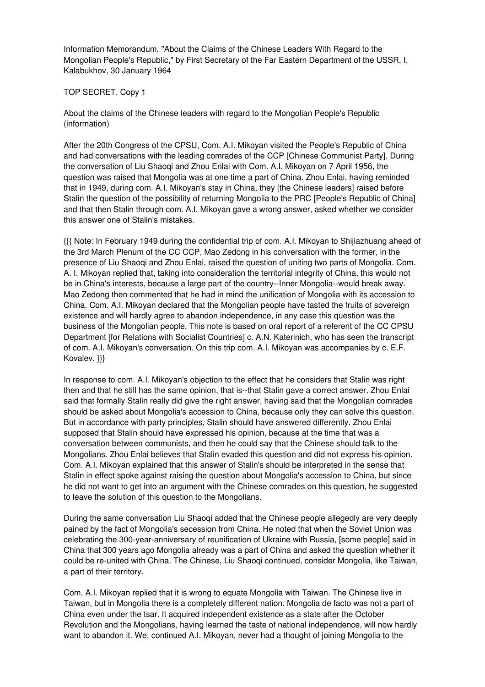Information Memorandum, "About the Claims of the Chinese Leaders With Regard to the Mongolian People's Republic," by First Secretary of the Far Eastern Department of the USSR, I. Kalabukhov, 30 January 1964

#### TOP SECRET. Copy 1

About the claims of the Chinese leaders with regard to the Mongolian People's Republic (information)

After the 20th Congress of the CPSU, Com. A.I. Mikoyan visited the People's Republic of China and had conversations with the leading comrades of the CCP [Chinese Communist Party]. During the conversation of Liu Shaoqi and Zhou Enlai with Com. A.I. Mikoyan on 7 April 1956, the question was raised that Mongolia was at one time a part of China. Zhou Enlai, having reminded that in 1949, during com. A.I. Mikoyan's stay in China, they [the Chinese leaders] raised before Stalin the question of the possibility of returning Mongolia to the PRC [People's Republic of China] and that then Stalin through com. A.I. Mikoyan gave a wrong answer, asked whether we consider this answer one of Stalin's mistakes.

{{{ Note: In February 1949 during the confidential trip of com. A.I. Mikoyan to Shijiazhuang ahead of the 3rd March Plenum of the CC CCP, Mao Zedong in his conversation with the former, in the presence of Liu Shaoqi and Zhou Enlai, raised the question of uniting two parts of Mongolia. Com. A. I. Mikoyan replied that, taking into consideration the territorial integrity of China, this would not be in China's interests, because a large part of the country--Inner Mongolia--would break away. Mao Zedong then commented that he had in mind the unification of Mongolia with its accession to China. Com. A.I. Mikoyan declared that the Mongolian people have tasted the fruits of sovereign existence and will hardly agree to abandon independence, in any case this question was the business of the Mongolian people. This note is based on oral report of a referent of the CC CPSU Department [for Relations with Socialist Countries] c. A.N. Katerinich, who has seen the transcript of com. A.I. Mikoyan's conversation. On this trip com. A.I. Mikoyan was accompanies by c. E.F. Kovalev. }}}

In response to com. A.I. Mikoyan's objection to the effect that he considers that Stalin was right then and that he still has the same opinion, that is--that Stalin gave a correct answer, Zhou Enlai said that formally Stalin really did give the right answer, having said that the Mongolian comrades should be asked about Mongolia's accession to China, because only they can solve this question. But in accordance with party principles, Stalin should have answered differently. Zhou Enlai supposed that Stalin should have expressed his opinion, because at the time that was a conversation between communists, and then he could say that the Chinese should talk to the Mongolians. Zhou Enlai believes that Stalin evaded this question and did not express his opinion. Com. A.I. Mikoyan explained that this answer of Stalin's should be interpreted in the sense that Stalin in effect spoke against raising the question about Mongolia's accession to China, but since he did not want to get into an argument with the Chinese comrades on this question, he suggested to leave the solution of this question to the Mongolians.

During the same conversation Liu Shaoqi added that the Chinese people allegedly are very deeply pained by the fact of Mongolia's secession from China. He noted that when the Soviet Union was celebrating the 300-year-anniversary of reunification of Ukraine with Russia, [some people] said in China that 300 years ago Mongolia already was a part of China and asked the question whether it could be re-united with China. The Chinese, Liu Shaoqi continued, consider Mongolia, like Taiwan, a part of their territory.

Com. A.I. Mikoyan replied that it is wrong to equate Mongolia with Taiwan. The Chinese live in Taiwan, but in Mongolia there is a completely different nation. Mongolia de facto was not a part of China even under the tsar. It acquired independent existence as a state after the October Revolution and the Mongolians, having learned the taste of national independence, will now hardly want to abandon it. We, continued A.I. Mikoyan, never had a thought of joining Mongolia to the